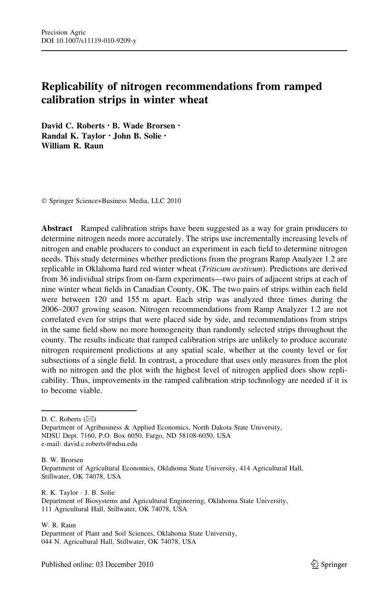# Replicability of nitrogen recommendations from ramped calibration strips in winter wheat

David C. Roberts · B. Wade Brorsen · Randal K. Taylor • John B. Solie • William R. Raun

- Springer Science+Business Media, LLC 2010

Abstract Ramped calibration strips have been suggested as a way for grain producers to determine nitrogen needs more accurately. The strips use incrementally increasing levels of nitrogen and enable producers to conduct an experiment in each field to determine nitrogen needs. This study determines whether predictions from the program Ramp Analyzer 1.2 are replicable in Oklahoma hard red winter wheat *(Triticum aestivum)*. Predictions are derived from 36 individual strips from on-farm experiments—two pairs of adjacent strips at each of nine winter wheat fields in Canadian County, OK. The two pairs of strips within each field were between 120 and 155 m apart. Each strip was analyzed three times during the 2006–2007 growing season. Nitrogen recommendations from Ramp Analyzer 1.2 are not correlated even for strips that were placed side by side, and recommendations from strips in the same field show no more homogeneity than randomly selected strips throughout the county. The results indicate that ramped calibration strips are unlikely to produce accurate nitrogen requirement predictions at any spatial scale, whether at the county level or for subsections of a single field. In contrast, a procedure that uses only measures from the plot with no nitrogen and the plot with the highest level of nitrogen applied does show replicability. Thus, improvements in the ramped calibration strip technology are needed if it is to become viable.

D. C. Roberts (⊠)

Department of Agribusiness & Applied Economics, North Dakota State University, NDSU Dept. 7160, P.O. Box 6050, Fargo, ND 58108-6050, USA e-mail: david.c.roberts@ndsu.edu

B. W. Brorsen Department of Agricultural Economics, Oklahoma State University, 414 Agricultural Hall, Stillwater, OK 74078, USA

R. K. Taylor - J. B. Solie Department of Biosystems and Agricultural Engineering, Oklahoma State University, 111 Agricultural Hall, Stillwater, OK 74078, USA

W. R. Raun Department of Plant and Soil Sciences, Oklahoma State University, 044 N. Agricultural Hall, Stillwater, OK 74078, USA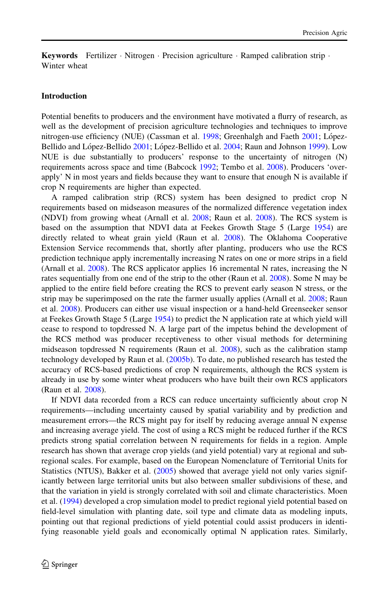Keywords Fertilizer · Nitrogen · Precision agriculture · Ramped calibration strip · Winter wheat

#### Introduction

Potential benefits to producers and the environment have motivated a flurry of research, as well as the development of precision agriculture technologies and techniques to improve nitrogen-use efficiency (NUE) (Cassman et al.  $1998$ ; Greenhalgh and Faeth [2001](#page-11-0); López-Bellido and López-Bellido [2001](#page-11-0); López-Bellido et al. [2004;](#page-11-0) Raun and Johnson [1999](#page-11-0)). Low NUE is due substantially to producers' response to the uncertainty of nitrogen (N) requirements across space and time (Babcock [1992](#page-11-0); Tembo et al. [2008](#page-12-0)). Producers 'overapply'  $N$  in most years and fields because they want to ensure that enough  $N$  is available if crop N requirements are higher than expected.

A ramped calibration strip (RCS) system has been designed to predict crop N requirements based on midseason measures of the normalized difference vegetation index (NDVI) from growing wheat (Arnall et al. [2008](#page-11-0); Raun et al. [2008\)](#page-12-0). The RCS system is based on the assumption that NDVI data at Feekes Growth Stage 5 (Large [1954\)](#page-11-0) are directly related to wheat grain yield (Raun et al. [2008\)](#page-12-0). The Oklahoma Cooperative Extension Service recommends that, shortly after planting, producers who use the RCS prediction technique apply incrementally increasing N rates on one or more strips in a field (Arnall et al. [2008](#page-11-0)). The RCS applicator applies 16 incremental N rates, increasing the N rates sequentially from one end of the strip to the other (Raun et al. [2008\)](#page-12-0). Some N may be applied to the entire field before creating the RCS to prevent early season N stress, or the strip may be superimposed on the rate the farmer usually applies (Arnall et al. [2008](#page-11-0); Raun et al. [2008](#page-12-0)). Producers can either use visual inspection or a hand-held Greenseeker sensor at Feekes Growth Stage 5 (Large [1954](#page-11-0)) to predict the N application rate at which yield will cease to respond to topdressed N. A large part of the impetus behind the development of the RCS method was producer receptiveness to other visual methods for determining midseason topdressed N requirements (Raun et al. [2008](#page-12-0)), such as the calibration stamp technology developed by Raun et al. [\(2005b\)](#page-11-0). To date, no published research has tested the accuracy of RCS-based predictions of crop N requirements, although the RCS system is already in use by some winter wheat producers who have built their own RCS applicators (Raun et al. [2008](#page-12-0)).

If NDVI data recorded from a RCS can reduce uncertainty sufficiently about crop N requirements—including uncertainty caused by spatial variability and by prediction and measurement errors—the RCS might pay for itself by reducing average annual N expense and increasing average yield. The cost of using a RCS might be reduced further if the RCS predicts strong spatial correlation between N requirements for fields in a region. Ample research has shown that average crop yields (and yield potential) vary at regional and subregional scales. For example, based on the European Nomenclature of Territorial Units for Statistics (NTUS), Bakker et al. ([2005\)](#page-11-0) showed that average yield not only varies significantly between large territorial units but also between smaller subdivisions of these, and that the variation in yield is strongly correlated with soil and climate characteristics. Moen et al. ([1994\)](#page-11-0) developed a crop simulation model to predict regional yield potential based on field-level simulation with planting date, soil type and climate data as modeling inputs, pointing out that regional predictions of yield potential could assist producers in identifying reasonable yield goals and economically optimal N application rates. Similarly,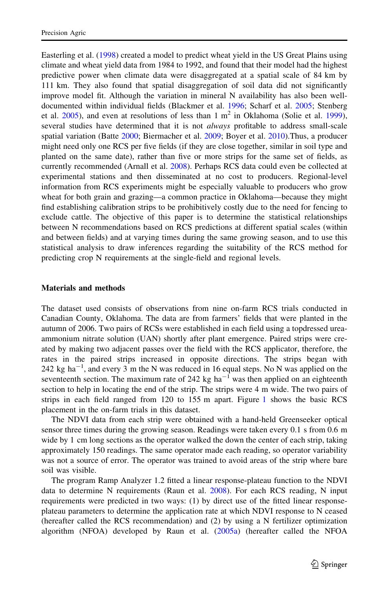Easterling et al. ([1998\)](#page-11-0) created a model to predict wheat yield in the US Great Plains using climate and wheat yield data from 1984 to 1992, and found that their model had the highest predictive power when climate data were disaggregated at a spatial scale of 84 km by 111 km. They also found that spatial disaggregation of soil data did not significantly improve model fit. Although the variation in mineral N availability has also been welldocumented within individual fields (Blackmer et al. [1996](#page-11-0); Scharf et al. [2005;](#page-12-0) Stenberg et al.  $2005$ ), and even at resolutions of less than 1 m<sup>2</sup> in Oklahoma (Solie et al. [1999](#page-12-0)), several studies have determined that it is not *always* profitable to address small-scale spatial variation (Batte [2000](#page-11-0); Biermacher et al. [2009;](#page-11-0) Boyer et al. [2010](#page-11-0)).Thus, a producer might need only one RCS per five fields (if they are close together, similar in soil type and planted on the same date), rather than five or more strips for the same set of fields, as currently recommended (Arnall et al. [2008\)](#page-11-0). Perhaps RCS data could even be collected at experimental stations and then disseminated at no cost to producers. Regional-level information from RCS experiments might be especially valuable to producers who grow wheat for both grain and grazing—a common practice in Oklahoma—because they might find establishing calibration strips to be prohibitively costly due to the need for fencing to exclude cattle. The objective of this paper is to determine the statistical relationships between N recommendations based on RCS predictions at different spatial scales (within and between fields) and at varying times during the same growing season, and to use this statistical analysis to draw inferences regarding the suitability of the RCS method for predicting crop N requirements at the single-field and regional levels.

### Materials and methods

The dataset used consists of observations from nine on-farm RCS trials conducted in Canadian County, Oklahoma. The data are from farmers' fields that were planted in the autumn of 2006. Two pairs of RCSs were established in each field using a topdressed ureaammonium nitrate solution (UAN) shortly after plant emergence. Paired strips were created by making two adjacent passes over the field with the RCS applicator, therefore, the rates in the paired strips increased in opposite directions. The strips began with 242 kg ha<sup> $-1$ </sup>, and every 3 m the N was reduced in 16 equal steps. No N was applied on the seventeenth section. The maximum rate of 242 kg ha<sup>-1</sup> was then applied on an eighteenth section to help in locating the end of the strip. The strips were 4 m wide. The two pairs of strips in each field ranged from 120 to 155 m apart. Figure [1](#page-3-0) shows the basic RCS placement in the on-farm trials in this dataset.

The NDVI data from each strip were obtained with a hand-held Greenseeker optical sensor three times during the growing season. Readings were taken every 0.1 s from 0.6 m wide by 1 cm long sections as the operator walked the down the center of each strip, taking approximately 150 readings. The same operator made each reading, so operator variability was not a source of error. The operator was trained to avoid areas of the strip where bare soil was visible.

The program Ramp Analyzer 1.2 fitted a linear response-plateau function to the NDVI data to determine N requirements (Raun et al. [2008](#page-12-0)). For each RCS reading, N input requirements were predicted in two ways: (1) by direct use of the fitted linear responseplateau parameters to determine the application rate at which NDVI response to N ceased (hereafter called the RCS recommendation) and (2) by using a N fertilizer optimization algorithm (NFOA) developed by Raun et al. [\(2005a\)](#page-11-0) (hereafter called the NFOA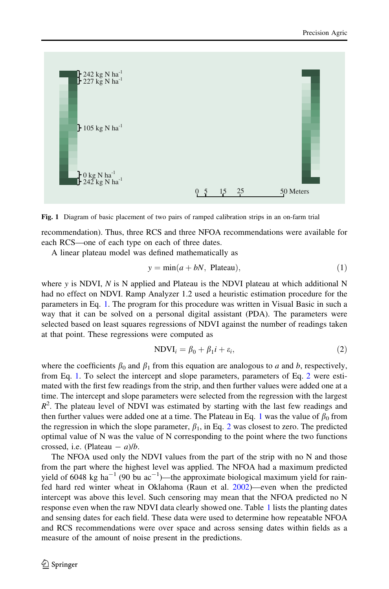<span id="page-3-0"></span>

Fig. 1 Diagram of basic placement of two pairs of ramped calibration strips in an on-farm trial

recommendation). Thus, three RCS and three NFOA recommendations were available for each RCS—one of each type on each of three dates.

A linear plateau model was defined mathematically as

$$
y = \min(a + bN, \text{ Plateau}), \tag{1}
$$

where  $y$  is NDVI,  $N$  is N applied and Plateau is the NDVI plateau at which additional N had no effect on NDVI. Ramp Analyzer 1.2 used a heuristic estimation procedure for the parameters in Eq. 1. The program for this procedure was written in Visual Basic in such a way that it can be solved on a personal digital assistant (PDA). The parameters were selected based on least squares regressions of NDVI against the number of readings taken at that point. These regressions were computed as

$$
NDVIi = \beta_0 + \beta_1 i + \varepsilon_i,
$$
\n(2)

where the coefficients  $\beta_0$  and  $\beta_1$  from this equation are analogous to a and b, respectively, from Eq. 1. To select the intercept and slope parameters, parameters of Eq. 2 were estimated with the first few readings from the strip, and then further values were added one at a time. The intercept and slope parameters were selected from the regression with the largest  $R<sup>2</sup>$ . The plateau level of NDVI was estimated by starting with the last few readings and then further values were added one at a time. The Plateau in Eq. 1 was the value of  $\beta_0$  from the regression in which the slope parameter,  $\beta_1$ , in Eq. 2 was closest to zero. The predicted optimal value of N was the value of N corresponding to the point where the two functions crossed, i.e. (Plateau  $- a$ )/*b*.

The NFOA used only the NDVI values from the part of the strip with no N and those from the part where the highest level was applied. The NFOA had a maximum predicted yield of 6048 kg ha<sup>-1</sup> (90 bu ac<sup>-1</sup>)—the approximate biological maximum yield for rainfed hard red winter wheat in Oklahoma (Raun et al. [2002\)](#page-11-0)—even when the predicted intercept was above this level. Such censoring may mean that the NFOA predicted no N response even when the raw NDVI data clearly showed one. Table [1](#page-4-0) lists the planting dates and sensing dates for each field. These data were used to determine how repeatable NFOA and RCS recommendations were over space and across sensing dates within fields as a measure of the amount of noise present in the predictions.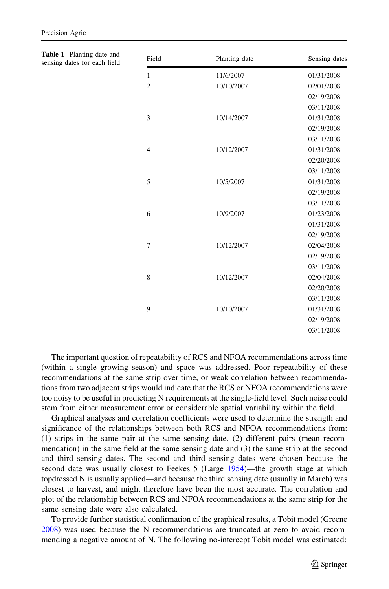| Table 1 Planting date and<br>sensing dates for each field | Field          | Planting date | Sensing dates |
|-----------------------------------------------------------|----------------|---------------|---------------|
|                                                           | 1              | 11/6/2007     | 01/31/2008    |
|                                                           | $\overline{2}$ | 10/10/2007    | 02/01/2008    |
|                                                           |                |               | 02/19/2008    |
|                                                           |                |               | 03/11/2008    |
|                                                           | 3              | 10/14/2007    | 01/31/2008    |
|                                                           |                |               | 02/19/2008    |
|                                                           |                |               | 03/11/2008    |
|                                                           | 4              | 10/12/2007    | 01/31/2008    |
|                                                           |                |               | 02/20/2008    |
|                                                           |                |               | 03/11/2008    |
|                                                           | 5              | 10/5/2007     | 01/31/2008    |
|                                                           |                |               | 02/19/2008    |
|                                                           |                |               | 03/11/2008    |
|                                                           | 6              | 10/9/2007     | 01/23/2008    |
|                                                           |                |               | 01/31/2008    |
|                                                           |                |               | 02/19/2008    |
|                                                           | $\overline{7}$ | 10/12/2007    | 02/04/2008    |
|                                                           |                |               | 02/19/2008    |
|                                                           |                |               | 03/11/2008    |
|                                                           | 8              | 10/12/2007    | 02/04/2008    |
|                                                           |                |               | 02/20/2008    |
|                                                           |                |               | 03/11/2008    |
|                                                           | 9              | 10/10/2007    | 01/31/2008    |

<span id="page-4-0"></span>Precision Agric

The important question of repeatability of RCS and NFOA recommendations across time (within a single growing season) and space was addressed. Poor repeatability of these recommendations at the same strip over time, or weak correlation between recommendations from two adjacent strips would indicate that the RCS or NFOA recommendations were too noisy to be useful in predicting N requirements at the single-field level. Such noise could stem from either measurement error or considerable spatial variability within the field.

Graphical analyses and correlation coefficients were used to determine the strength and significance of the relationships between both RCS and NFOA recommendations from: (1) strips in the same pair at the same sensing date, (2) different pairs (mean recommendation) in the same field at the same sensing date and (3) the same strip at the second and third sensing dates. The second and third sensing dates were chosen because the second date was usually closest to Feekes 5 (Large [1954\)](#page-11-0)—the growth stage at which topdressed N is usually applied—and because the third sensing date (usually in March) was closest to harvest, and might therefore have been the most accurate. The correlation and plot of the relationship between RCS and NFOA recommendations at the same strip for the same sensing date were also calculated.

To provide further statistical confirmation of the graphical results, a Tobit model (Greene [2008\)](#page-11-0) was used because the N recommendations are truncated at zero to avoid recommending a negative amount of N. The following no-intercept Tobit model was estimated:

02/19/2008 03/11/2008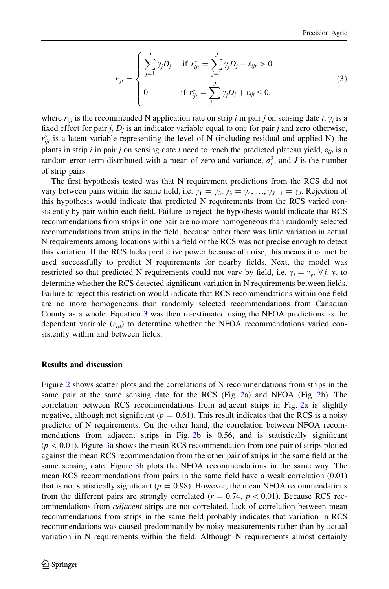$$
r_{ijt} = \begin{cases} \sum_{j=1}^{J} \gamma_j D_j & \text{if } r_{ijt}^* = \sum_{j=1}^{J} \gamma_j D_j + \varepsilon_{ijt} > 0\\ 0 & \text{if } r_{ijt}^* = \sum_{j=1}^{J} \gamma_j D_j + \varepsilon_{ijt} \le 0, \end{cases}
$$
(3)

where  $r_{ii}$  is the recommended N application rate on strip *i* in pair *j* on sensing date *t*,  $\gamma_i$  is a fixed effect for pair j,  $D_i$  is an indicator variable equal to one for pair j and zero otherwise,  $r_{ijt}^*$  is a latent variable representing the level of N (including residual and applied N) the plants in strip i in pair j on sensing date t need to reach the predicted plateau yield,  $\varepsilon_{ijt}$  is a random error term distributed with a mean of zero and variance,  $\sigma_{\varepsilon}^2$ , and J is the number of strip pairs.

The first hypothesis tested was that N requirement predictions from the RCS did not vary between pairs within the same field, i.e.  $\gamma_1 = \gamma_2, \gamma_3 = \gamma_4, \ldots, \gamma_{J-1} = \gamma_J$ . Rejection of this hypothesis would indicate that predicted N requirements from the RCS varied consistently by pair within each field. Failure to reject the hypothesis would indicate that RCS recommendations from strips in one pair are no more homogeneous than randomly selected recommendations from strips in the field, because either there was little variation in actual N requirements among locations within a field or the RCS was not precise enough to detect this variation. If the RCS lacks predictive power because of noise, this means it cannot be used successfully to predict N requirements for nearby fields. Next, the model was restricted so that predicted N requirements could not vary by field, i.e.  $\gamma_i = \gamma_v, \forall j, y$ , to determine whether the RCS detected significant variation in N requirements between fields. Failure to reject this restriction would indicate that RCS recommendations within one field are no more homogeneous than randomly selected recommendations from Canadian County as a whole. Equation [3](#page-4-0) was then re-estimated using the NFOA predictions as the dependent variable  $(r_{ijt})$  to determine whether the NFOA recommendations varied consistently within and between fields.

### Results and discussion

Figure [2](#page-6-0) shows scatter plots and the correlations of N recommendations from strips in the same pair at the same sensing date for the RCS (Fig. [2](#page-6-0)a) and NFOA (Fig. [2b](#page-6-0)). The correlation between RCS recommendations from adjacent strips in Fig. [2](#page-6-0)a is slightly negative, although not significant ( $p = 0.61$ ). This result indicates that the RCS is a noisy predictor of N requirements. On the other hand, the correlation between NFOA recommendations from adjacent strips in Fig. [2](#page-6-0)b is 0.56, and is statistically significant  $(p<0.01)$ . Figure [3](#page-6-0)a shows the mean RCS recommendation from one pair of strips plotted against the mean RCS recommendation from the other pair of strips in the same field at the same sensing date. Figure [3](#page-6-0)b plots the NFOA recommendations in the same way. The mean RCS recommendations from pairs in the same field have a weak correlation (0.01) that is not statistically significant ( $p = 0.98$ ). However, the mean NFOA recommendations from the different pairs are strongly correlated ( $r = 0.74$ ,  $p < 0.01$ ). Because RCS recommendations from *adjacent* strips are not correlated, lack of correlation between mean recommendations from strips in the same field probably indicates that variation in RCS recommendations was caused predominantly by noisy measurements rather than by actual variation in N requirements within the field. Although N requirements almost certainly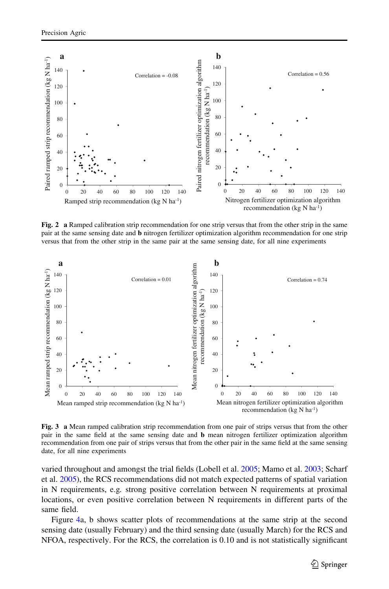<span id="page-6-0"></span>

Fig. 2 a Ramped calibration strip recommendation for one strip versus that from the other strip in the same pair at the same sensing date and b nitrogen fertilizer optimization algorithm recommendation for one strip versus that from the other strip in the same pair at the same sensing date, for all nine experiments



Fig. 3 a Mean ramped calibration strip recommendation from one pair of strips versus that from the other pair in the same field at the same sensing date and b mean nitrogen fertilizer optimization algorithm recommendation from one pair of strips versus that from the other pair in the same field at the same sensing date, for all nine experiments

varied throughout and amongst the trial fields (Lobell et al. [2005](#page-11-0); Mamo et al. [2003;](#page-11-0) Scharf et al. [2005\)](#page-12-0), the RCS recommendations did not match expected patterns of spatial variation in N requirements, e.g. strong positive correlation between N requirements at proximal locations, or even positive correlation between N requirements in different parts of the same field.

Figure [4a](#page-7-0), b shows scatter plots of recommendations at the same strip at the second sensing date (usually February) and the third sensing date (usually March) for the RCS and NFOA, respectively. For the RCS, the correlation is 0.10 and is not statistically significant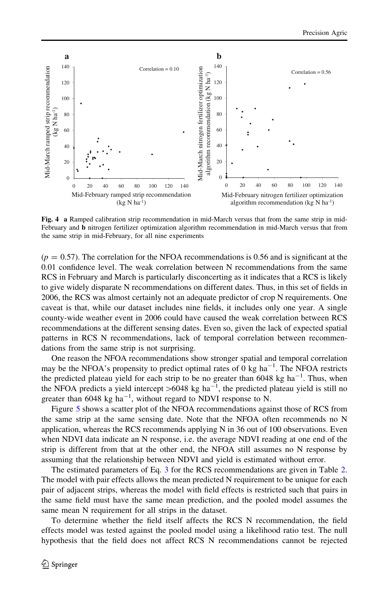<span id="page-7-0"></span>

Fig. 4 a Ramped calibration strip recommendation in mid-March versus that from the same strip in mid-February and **b** nitrogen fertilizer optimization algorithm recommendation in mid-March versus that from the same strip in mid-February, for all nine experiments

 $(p = 0.57)$ . The correlation for the NFOA recommendations is 0.56 and is significant at the 0.01 confidence level. The weak correlation between N recommendations from the same RCS in February and March is particularly disconcerting as it indicates that a RCS is likely to give widely disparate N recommendations on different dates. Thus, in this set of fields in 2006, the RCS was almost certainly not an adequate predictor of crop N requirements. One caveat is that, while our dataset includes nine fields, it includes only one year. A single county-wide weather event in 2006 could have caused the weak correlation between RCS recommendations at the different sensing dates. Even so, given the lack of expected spatial patterns in RCS N recommendations, lack of temporal correlation between recommendations from the same strip is not surprising.

One reason the NFOA recommendations show stronger spatial and temporal correlation may be the NFOA's propensity to predict optimal rates of 0 kg  $ha^{-1}$ . The NFOA restricts the predicted plateau yield for each strip to be no greater than  $6048 \text{ kg ha}^{-1}$ . Thus, when the NFOA predicts a yield intercept  $>6048$  kg ha<sup>-1</sup>, the predicted plateau yield is still no greater than  $6048 \text{ kg ha}^{-1}$ , without regard to NDVI response to N.

Figure [5](#page-8-0) shows a scatter plot of the NFOA recommendations against those of RCS from the same strip at the same sensing date. Note that the NFOA often recommends no N application, whereas the RCS recommends applying N in 36 out of 100 observations. Even when NDVI data indicate an N response, i.e. the average NDVI reading at one end of the strip is different from that at the other end, the NFOA still assumes no N response by assuming that the relationship between NDVI and yield is estimated without error.

The estimated parameters of Eq. [3](#page-4-0) for the RCS recommendations are given in Table [2](#page-8-0). The model with pair effects allows the mean predicted N requirement to be unique for each pair of adjacent strips, whereas the model with field effects is restricted such that pairs in the same field must have the same mean prediction, and the pooled model assumes the same mean N requirement for all strips in the dataset.

To determine whether the field itself affects the RCS N recommendation, the field effects model was tested against the pooled model using a likelihood ratio test. The null hypothesis that the field does not affect RCS N recommendations cannot be rejected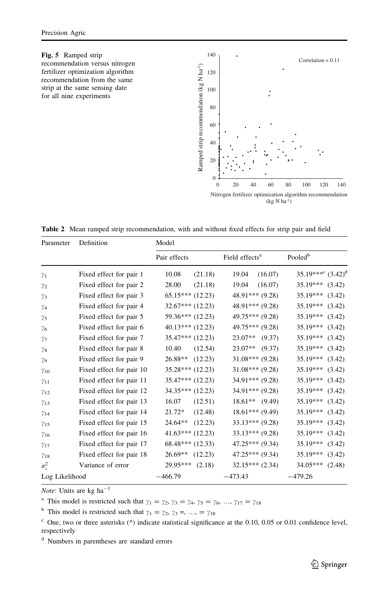# fertilizer optimization algorithm recommendation from the same strip at the same sensing date for all nine experiments

<span id="page-8-0"></span>

Table 2 Mean ramped strip recommendation, with and without fixed effects for strip pair and field

| Parameter                | Definition               | Model                |                            |                                     |  |
|--------------------------|--------------------------|----------------------|----------------------------|-------------------------------------|--|
|                          |                          | Pair effects         | Field effects <sup>a</sup> | Pooled <sup>b</sup>                 |  |
| $\gamma_1$               | Fixed effect for pair 1  | 10.08<br>(21.18)     | (16.07)<br>19.04           | $35.19***^{\rm c}$ $(3.42)^{\rm d}$ |  |
| $\gamma_{2}$             | Fixed effect for pair 2  | 28.00<br>(21.18)     | (16.07)<br>19.04           | $35.19***$<br>(3.42)                |  |
| $\gamma_3$               | Fixed effect for pair 3  | $65.15***(12.23)$    | $48.91***$ $(9.28)$        | 35.19***<br>(3.42)                  |  |
| $\gamma_4$               | Fixed effect for pair 4  | $32.67***$ (12.23)   | $48.91***$ $(9.28)$        | $35.19***$<br>(3.42)                |  |
| $\gamma_{5}$             | Fixed effect for pair 5  | $59.36***$ (12.23)   | 49.75*** (9.28)            | $35.19***$<br>(3.42)                |  |
| $\gamma_6$               | Fixed effect for pair 6  | $40.13***(12.23)$    | $49.75***(9.28)$           | 35.19***<br>(3.42)                  |  |
| $\gamma$ 7               | Fixed effect for pair 7  | $35.47***$ $(12.23)$ | $23.07**$<br>(9.37)        | $35.19***$<br>(3.42)                |  |
| $\gamma_8$               | Fixed effect for pair 8  | (12.54)<br>10.40     | $23.07**$<br>(9.37)        | 35.19***<br>(3.42)                  |  |
| $\gamma$ <sub>9</sub>    | Fixed effect for pair 9  | $26.88**$<br>(12.23) | $31.08***$ (9.28)          | $35.19***$<br>(3.42)                |  |
| $\gamma_{10}$            | Fixed effect for pair 10 | $35.28***(12.23)$    | $31.08***$ (9.28)          | $35.19***$<br>(3.42)                |  |
| $\gamma_{11}$            | Fixed effect for pair 11 | $35.47***$ $(12.23)$ | $34.91***$ (9.28)          | 35.19***<br>(3.42)                  |  |
| $\gamma_{12}$            | Fixed effect for pair 12 | $34.35***$ $(12.23)$ | $34.91***$ $(9.28)$        | $35.19***$<br>(3.42)                |  |
| $\gamma_{13}$            | Fixed effect for pair 13 | (12.51)<br>16.07     | $18.61**$ (9.49)           | 35.19***<br>(3.42)                  |  |
| $\gamma_{14}$            | Fixed effect for pair 14 | (12.48)<br>21.72*    | $18.61***$ (9.49)          | $35.19***$<br>(3.42)                |  |
| $\gamma_{15}$            | Fixed effect for pair 15 | (12.23)<br>24.64**   | $33.13***$ (9.28)          | 35.19***<br>(3.42)                  |  |
| $\gamma_{16}$            | Fixed effect for pair 16 | $41.63***$ $(12.23)$ | $33.13***$ (9.28)          | 35.19***<br>(3.42)                  |  |
| $\gamma_{17}$            | Fixed effect for pair 17 | $68.48***$ (12.33)   | $47.25***$ (9.34)          | $35.19***$<br>(3.42)                |  |
| $\gamma_{18}$            | Fixed effect for pair 18 | $26.69**$<br>(12.23) | $47.25***$ (9.34)          | 35.19***<br>(3.42)                  |  |
| $\sigma_{\varepsilon}^2$ | Variance of error        | 29.95***<br>(2.18)   | $32.15***$ $(2.34)$        | 34.05***<br>(2.48)                  |  |
| Log Likelihood           |                          | $-466.79$            | $-473.43$                  | $-479.26$                           |  |

*Note*: Units are kg ha<sup>-1</sup>

<sup>a</sup> This model is restricted such that  $\gamma_1 = \gamma_2, \gamma_3 = \gamma_4, \gamma_5 = \gamma_6, ..., \gamma_{17} = \gamma_{18}$ 

<sup>b</sup> This model is restricted such that  $\gamma_1 = \gamma_2, \gamma_3 =, ..., = \gamma_{18}$ 

 $c$  One, two or three asterisks (\*) indicate statistical significance at the 0.10, 0.05 or 0.01 confidence level, respectively

<sup>d</sup> Numbers in parentheses are standard errors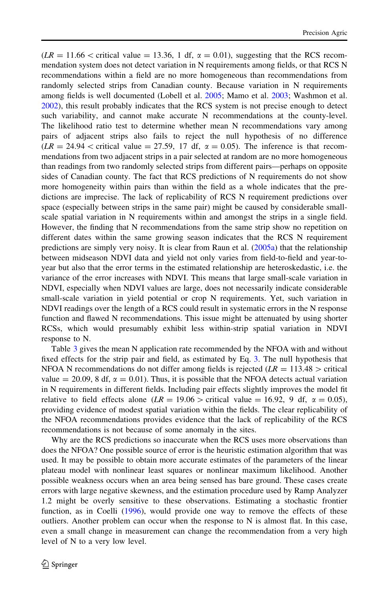$(LR = 11.66 < \text{critical value} = 13.36, 1 \text{ df}, \alpha = 0.01)$ , suggesting that the RCS recommendation system does not detect variation in N requirements among fields, or that RCS N recommendations within a field are no more homogeneous than recommendations from randomly selected strips from Canadian county. Because variation in N requirements among fields is well documented (Lobell et al. [2005;](#page-11-0) Mamo et al. [2003;](#page-11-0) Washmon et al. [2002\)](#page-12-0), this result probably indicates that the RCS system is not precise enough to detect such variability, and cannot make accurate N recommendations at the county-level. The likelihood ratio test to determine whether mean N recommendations vary among pairs of adjacent strips also fails to reject the null hypothesis of no difference  $(LR = 24.94 <$  critical value = 27.59, 17 df,  $\alpha = 0.05$ ). The inference is that recommendations from two adjacent strips in a pair selected at random are no more homogeneous than readings from two randomly selected strips from different pairs—perhaps on opposite sides of Canadian county. The fact that RCS predictions of N requirements do not show more homogeneity within pairs than within the field as a whole indicates that the predictions are imprecise. The lack of replicability of RCS N requirement predictions over space (especially between strips in the same pair) might be caused by considerable smallscale spatial variation in N requirements within and amongst the strips in a single field. However, the finding that N recommendations from the same strip show no repetition on different dates within the same growing season indicates that the RCS N requirement predictions are simply very noisy. It is clear from Raun et al. [\(2005a\)](#page-11-0) that the relationship between midseason NDVI data and yield not only varies from field-to-field and year-toyear but also that the error terms in the estimated relationship are heteroskedastic, i.e. the variance of the error increases with NDVI. This means that large small-scale variation in NDVI, especially when NDVI values are large, does not necessarily indicate considerable small-scale variation in yield potential or crop N requirements. Yet, such variation in NDVI readings over the length of a RCS could result in systematic errors in the N response function and flawed N recommendations. This issue might be attenuated by using shorter RCSs, which would presumably exhibit less within-strip spatial variation in NDVI response to N.

Table [3](#page-10-0) gives the mean N application rate recommended by the NFOA with and without fixed effects for the strip pair and field, as estimated by Eq. [3.](#page-4-0) The null hypothesis that NFOA N recommendations do not differ among fields is rejected ( $LR = 113.48$ ) > critical value = 20.09, 8 df,  $\alpha$  = 0.01). Thus, it is possible that the NFOA detects actual variation in N requirements in different fields. Including pair effects slightly improves the model fit relative to field effects alone (LR = 19.06 > critical value = 16.92, 9 df,  $\alpha$  = 0.05), providing evidence of modest spatial variation within the fields. The clear replicability of the NFOA recommendations provides evidence that the lack of replicability of the RCS recommendations is not because of some anomaly in the sites.

Why are the RCS predictions so inaccurate when the RCS uses more observations than does the NFOA? One possible source of error is the heuristic estimation algorithm that was used. It may be possible to obtain more accurate estimates of the parameters of the linear plateau model with nonlinear least squares or nonlinear maximum likelihood. Another possible weakness occurs when an area being sensed has bare ground. These cases create errors with large negative skewness, and the estimation procedure used by Ramp Analyzer 1.2 might be overly sensitive to these observations. Estimating a stochastic frontier function, as in Coelli ([1996](#page-11-0)), would provide one way to remove the effects of these outliers. Another problem can occur when the response to  $N$  is almost flat. In this case, even a small change in measurement can change the recommendation from a very high level of N to a very low level.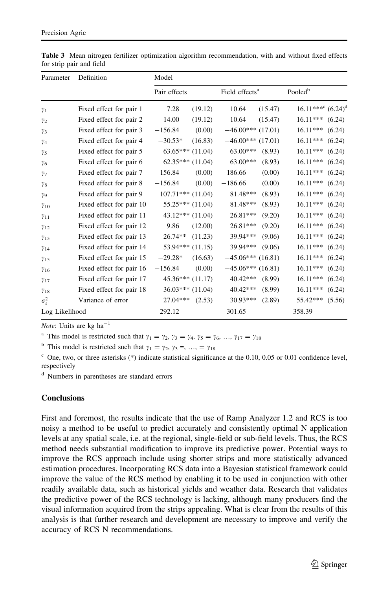| Parameter          | Definition               | Model                |                            |                                     |  |  |
|--------------------|--------------------------|----------------------|----------------------------|-------------------------------------|--|--|
|                    |                          | Pair effects         | Field effects <sup>a</sup> | Pooled <sup>b</sup>                 |  |  |
| $\gamma_1$         | Fixed effect for pair 1  | 7.28<br>(19.12)      | 10.64<br>(15.47)           | $16.11***^{\rm c}$ $(6.24)^{\rm d}$ |  |  |
| $\gamma_{2}$       | Fixed effect for pair 2  | 14.00<br>(19.12)     | 10.64<br>(15.47)           | $16.11***$<br>(6.24)                |  |  |
| $\gamma_3$         | Fixed effect for pair 3  | $-156.84$<br>(0.00)  | $-46.00***(17.01)$         | $16.11***$<br>(6.24)                |  |  |
| $\gamma_4$         | Fixed effect for pair 4  | $-30.53*$<br>(16.83) | $-46.00***(17.01)$         | $16.11***$<br>(6.24)                |  |  |
| $\gamma_{5}$       | Fixed effect for pair 5  | $63.65***$ $(11.04)$ | $63.00***$<br>(8.93)       | $16.11***$<br>(6.24)                |  |  |
| $\gamma_6$         | Fixed effect for pair 6  | $62.35***$ $(11.04)$ | $63.00***$<br>(8.93)       | $16.11***$<br>(6.24)                |  |  |
| $\gamma_7$         | Fixed effect for pair 7  | $-156.84$<br>(0.00)  | $-186.66$<br>(0.00)        | $16.11***$<br>(6.24)                |  |  |
| $\gamma_8$         | Fixed effect for pair 8  | $-156.84$<br>(0.00)  | (0.00)<br>$-186.66$        | $16.11***$<br>(6.24)                |  |  |
| $\gamma_{9}$       | Fixed effect for pair 9  | $107.71***$ (11.04)  | 81.48***<br>(8.93)         | $16.11***$<br>(6.24)                |  |  |
| $\gamma_{10}$      | Fixed effect for pair 10 | $55.25***(11.04)$    | 81.48***<br>(8.93)         | $16.11***$<br>(6.24)                |  |  |
| $\gamma_{11}$      | Fixed effect for pair 11 | $43.12***(11.04)$    | 26.81***<br>(9.20)         | $16.11***$<br>(6.24)                |  |  |
| $\gamma_{12}$      | Fixed effect for pair 12 | 9.86<br>(12.00)      | 26.81***<br>(9.20)         | $16.11***$<br>(6.24)                |  |  |
| $\gamma_{13}$      | Fixed effect for pair 13 | $26.74**$<br>(11.23) | 39.94***<br>(9.06)         | $16.11***$<br>(6.24)                |  |  |
| $\gamma_{14}$      | Fixed effect for pair 14 | $53.94***$ (11.15)   | 39.94***<br>(9.06)         | $16.11***$<br>(6.24)                |  |  |
| $\gamma_{15}$      | Fixed effect for pair 15 | $-29.28*$<br>(16.63) | $-45.06***$ (16.81)        | $16.11***$<br>(6.24)                |  |  |
| $\gamma_{16}$      | Fixed effect for pair 16 | $-156.84$<br>(0.00)  | $-45.06***(16.81)$         | $16.11***$<br>(6.24)                |  |  |
| $\gamma_{17}$      | Fixed effect for pair 17 | $45.36***(11.17)$    | 40.42***<br>(8.99)         | $16.11***$<br>(6.24)                |  |  |
| $\gamma_{18}$      | Fixed effect for pair 18 | $36.03***(11.04)$    | $40.42***$<br>(8.99)       | $16.11***$<br>(6.24)                |  |  |
| $\sigma_{\rm s}^2$ | Variance of error        | 27.04***<br>(2.53)   | 30.93***<br>(2.89)         | 55.42***<br>(5.56)                  |  |  |
| Log Likelihood     |                          | $-292.12$            | $-301.65$                  | $-358.39$                           |  |  |

<span id="page-10-0"></span>Table 3 Mean nitrogen fertilizer optimization algorithm recommendation, with and without fixed effects for strip pair and field

Note: Units are kg ha $^{-1}$ 

<sup>a</sup> This model is restricted such that  $\gamma_1 = \gamma_2, \gamma_3 = \gamma_4, \gamma_5 = \gamma_6, ..., \gamma_{17} = \gamma_{18}$ 

<sup>b</sup> This model is restricted such that  $\gamma_1 = \gamma_2, \gamma_3 =, ..., = \gamma_{18}$ 

 $c$  One, two, or three asterisks (\*) indicate statistical significance at the 0.10, 0.05 or 0.01 confidence level, respectively

<sup>d</sup> Numbers in parentheses are standard errors

## **Conclusions**

First and foremost, the results indicate that the use of Ramp Analyzer 1.2 and RCS is too noisy a method to be useful to predict accurately and consistently optimal N application levels at any spatial scale, i.e. at the regional, single-field or sub-field levels. Thus, the RCS method needs substantial modification to improve its predictive power. Potential ways to improve the RCS approach include using shorter strips and more statistically advanced estimation procedures. Incorporating RCS data into a Bayesian statistical framework could improve the value of the RCS method by enabling it to be used in conjunction with other readily available data, such as historical yields and weather data. Research that validates the predictive power of the RCS technology is lacking, although many producers find the visual information acquired from the strips appealing. What is clear from the results of this analysis is that further research and development are necessary to improve and verify the accuracy of RCS N recommendations.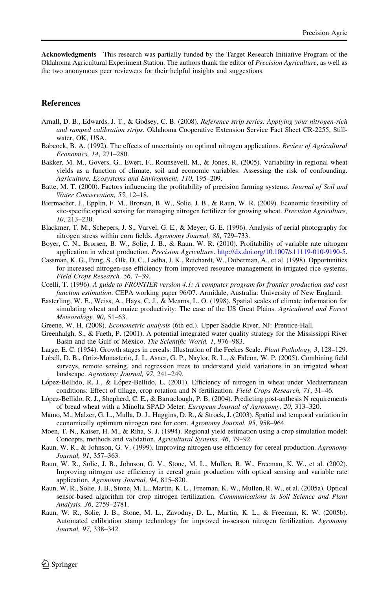<span id="page-11-0"></span>Acknowledgments This research was partially funded by the Target Research Initiative Program of the Oklahoma Agricultural Experiment Station. The authors thank the editor of Precision Agriculture, as well as the two anonymous peer reviewers for their helpful insights and suggestions.

#### References

- Arnall, D. B., Edwards, J. T., & Godsey, C. B. (2008). Reference strip series: Applying your nitrogen-rich and ramped calibration strips. Oklahoma Cooperative Extension Service Fact Sheet CR-2255, Stillwater, OK, USA.
- Babcock, B. A. (1992). The effects of uncertainty on optimal nitrogen applications. Review of Agricultural Economics, 14, 271–280.
- Bakker, M. M., Govers, G., Ewert, F., Rounsevell, M., & Jones, R. (2005). Variability in regional wheat yields as a function of climate, soil and economic variables: Assessing the risk of confounding. Agriculture, Ecosystems and Environment, 110, 195–209.
- Batte, M. T. (2000). Factors influencing the profitability of precision farming systems. *Journal of Soil and* Water Conservation, 55, 12–18.
- Biermacher, J., Epplin, F. M., Brorsen, B. W., Solie, J. B., & Raun, W. R. (2009). Economic feasibility of site-specific optical sensing for managing nitrogen fertilizer for growing wheat. Precision Agriculture, 10, 213–230.
- Blackmer, T. M., Schepers, J. S., Varvel, G. E., & Meyer, G. E. (1996). Analysis of aerial photography for nitrogen stress within corn fields. Agronomy Journal, 88, 729–733.
- Boyer, C. N., Brorsen, B. W., Solie, J. B., & Raun, W. R. (2010). Profitability of variable rate nitrogen application in wheat production. Precision Agriculture. [http://dx.doi.org/10.1007/s11119-010-9190-5.](http://dx.doi.org/10.1007/s11119-010-9190-5)
- Cassman, K. G., Peng, S., Olk, D. C., Ladha, J. K., Reichardt, W., Doberman, A., et al. (1998). Opportunities for increased nitrogen-use efficiency from improved resource management in irrigated rice systems. Field Crops Research, 56, 7–39.
- Coelli, T. (1996). A guide to FRONTIER version 4.1: A computer program for frontier production and cost function estimation. CEPA working paper 96/07. Armidale, Australia: University of New England.
- Easterling, W. E., Weiss, A., Hays, C. J., & Mearns, L. O. (1998). Spatial scales of climate information for simulating wheat and maize productivity: The case of the US Great Plains. Agricultural and Forest Meteorology, 90, 51–63.
- Greene, W. H. (2008). Econometric analysis (6th ed.). Upper Saddle River, NJ: Prentice-Hall.
- Greenhalgh, S., & Faeth, P. (2001). A potential integrated water quality strategy for the Mississippi River Basin and the Gulf of Mexico. The Scientific World, 1, 976–983.
- Large, E. C. (1954). Growth stages in cereals: Illustration of the Feekes Scale. Plant Pathology, 3, 128–129.
- Lobell, D. B., Ortiz-Monasterio, J. I., Asner, G. P., Naylor, R. L., & Falcon, W. P. (2005). Combining field surveys, remote sensing, and regression trees to understand yield variations in an irrigated wheat landscape. Agronomy Journal, 97, 241–249.
- López-Bellido, R. J., & López-Bellido, L. (2001). Efficiency of nitrogen in wheat under Mediterranean conditions: Effect of tillage, crop rotation and N fertilization. Field Crops Research, 71, 31–46.
- López-Bellido, R. J., Shepherd, C. E., & Barraclough, P. B. (2004). Predicting post-anthesis N requirements of bread wheat with a Minolta SPAD Meter. European Journal of Agronomy, 20, 313–320.
- Mamo, M., Malzer, G. L., Mulla, D. J., Huggins, D. R., & Strock, J. (2003). Spatial and temporal variation in economically optimum nitrogen rate for corn. Agronomy Journal, 95, 958–964.
- Moen, T. N., Kaiser, H. M., & Riha, S. J. (1994). Regional yield estimation using a crop simulation model: Concepts, methods and validation. Agricultural Systems, 46, 79–92.
- Raun, W. R., & Johnson, G. V. (1999). Improving nitrogen use efficiency for cereal production. Agronomy Journal, 91, 357–363.
- Raun, W. R., Solie, J. B., Johnson, G. V., Stone, M. L., Mullen, R. W., Freeman, K. W., et al. (2002). Improving nitrogen use efficiency in cereal grain production with optical sensing and variable rate application. Agronomy Journal, 94, 815–820.
- Raun, W. R., Solie, J. B., Stone, M. L., Martin, K. L., Freeman, K. W., Mullen, R. W., et al. (2005a). Optical sensor-based algorithm for crop nitrogen fertilization. Communications in Soil Science and Plant Analysis, 36, 2759–2781.
- Raun, W. R., Solie, J. B., Stone, M. L., Zavodny, D. L., Martin, K. L., & Freeman, K. W. (2005b). Automated calibration stamp technology for improved in-season nitrogen fertilization. Agronomy Journal, 97, 338–342.